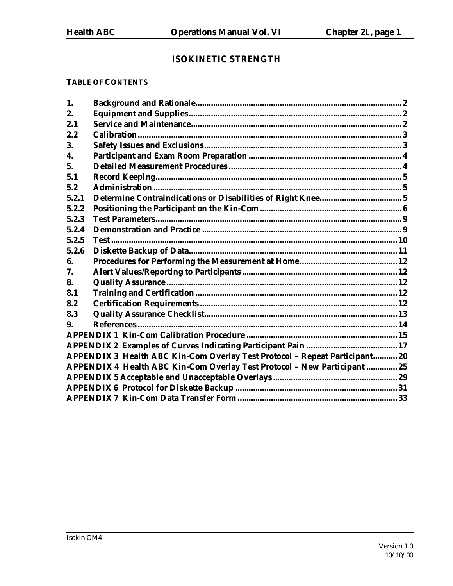## **ISOKINETIC STRENGTH**

## **TABLE OF CONTENTS**

| 1.    |                                                                             |  |
|-------|-----------------------------------------------------------------------------|--|
| 2.    |                                                                             |  |
| 2.1   |                                                                             |  |
| 2.2   |                                                                             |  |
| 3.    |                                                                             |  |
| 4.    |                                                                             |  |
| 5.    |                                                                             |  |
| 5.1   |                                                                             |  |
| 5.2   |                                                                             |  |
| 5.2.1 |                                                                             |  |
| 5.2.2 |                                                                             |  |
| 5.2.3 |                                                                             |  |
| 5.2.4 |                                                                             |  |
| 5.2.5 |                                                                             |  |
| 5.2.6 |                                                                             |  |
| 6.    |                                                                             |  |
| 7.    |                                                                             |  |
| 8.    |                                                                             |  |
| 8.1   |                                                                             |  |
| 8.2   |                                                                             |  |
| 8.3   |                                                                             |  |
| 9.    |                                                                             |  |
|       |                                                                             |  |
|       |                                                                             |  |
|       | APPENDIX 3 Health ABC Kin-Com Overlay Test Protocol - Repeat Participant 20 |  |
|       | APPENDIX 4 Health ABC Kin-Com Overlay Test Protocol - New Participant  25   |  |
|       |                                                                             |  |
|       |                                                                             |  |
|       |                                                                             |  |
|       |                                                                             |  |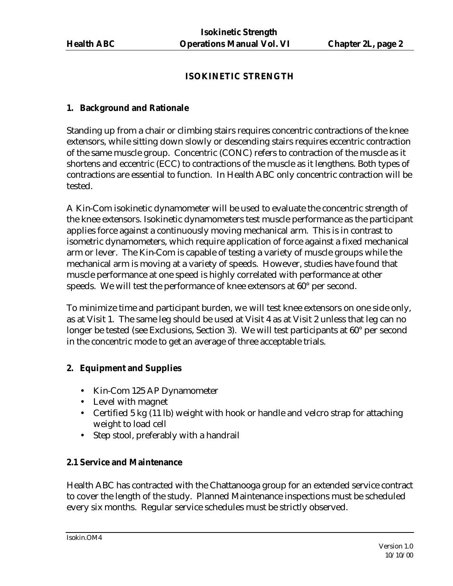## **ISOKINETIC STRENGTH**

#### **1. Background and Rationale**

Standing up from a chair or climbing stairs requires concentric contractions of the knee extensors, while sitting down slowly or descending stairs requires eccentric contraction of the same muscle group. Concentric (CONC) refers to contraction of the muscle as it shortens and eccentric (ECC) to contractions of the muscle as it lengthens. Both types of contractions are essential to function. In Health ABC only concentric contraction will be tested.

A Kin-Com isokinetic dynamometer will be used to evaluate the concentric strength of the knee extensors. Isokinetic dynamometers test muscle performance as the participant applies force against a continuously moving mechanical arm. This is in contrast to isometric dynamometers, which require application of force against a fixed mechanical arm or lever. The Kin-Com is capable of testing a variety of muscle groups while the mechanical arm is moving at a variety of speeds. However, studies have found that muscle performance at one speed is highly correlated with performance at other speeds. We will test the performance of knee extensors at 60° per second.

To minimize time and participant burden, we will test knee extensors on one side only, as at Visit 1. The same leg should be used at Visit 4 as at Visit 2 unless that leg can no longer be tested (see Exclusions, Section 3). We will test participants at 60° per second in the concentric mode to get an average of three acceptable trials.

## **2. Equipment and Supplies**

- Kin-Com 125 AP Dynamometer
- Level with magnet
- Certified 5 kg (11 lb) weight with hook or handle and velcro strap for attaching weight to load cell
- Step stool, preferably with a handrail

## **2.1 Service and Maintenance**

Health ABC has contracted with the Chattanooga group for an extended service contract to cover the length of the study. Planned Maintenance inspections must be scheduled every six months. Regular service schedules must be strictly observed.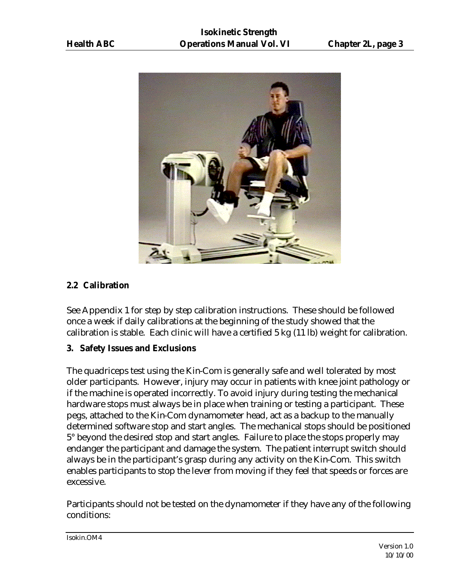

## **2.2 Calibration**

See Appendix 1 for step by step calibration instructions. These should be followed once a week if daily calibrations at the beginning of the study showed that the calibration is stable. Each clinic will have a certified 5 kg (11 lb) weight for calibration.

#### **3. Safety Issues and Exclusions**

The quadriceps test using the Kin-Com is generally safe and well tolerated by most older participants. However, injury may occur in patients with knee joint pathology or if the machine is operated incorrectly. To avoid injury during testing the mechanical hardware stops must always be in place when training or testing a participant. These pegs, attached to the Kin-Com dynamometer head, act as a backup to the manually determined software stop and start angles. The mechanical stops should be positioned 5° beyond the desired stop and start angles. Failure to place the stops properly may endanger the participant and damage the system. The patient interrupt switch should always be in the participant's grasp during any activity on the Kin-Com. This switch enables participants to stop the lever from moving if they feel that speeds or forces are excessive.

Participants should not be tested on the dynamometer if they have any of the following conditions: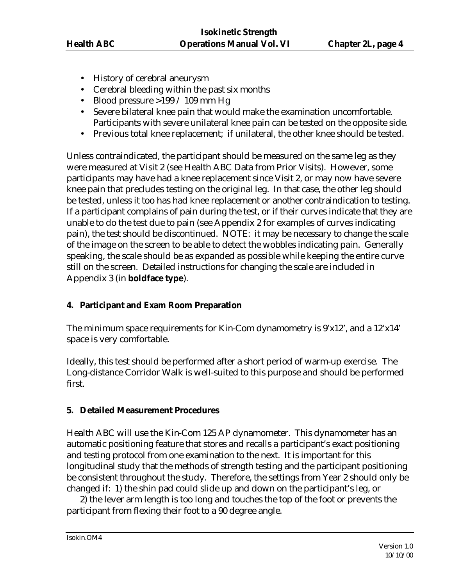- History of cerebral aneurysm
- Cerebral bleeding within the past six months
- Blood pressure  $>199/109$  mm Hg
- Severe bilateral knee pain that would make the examination uncomfortable. Participants with severe unilateral knee pain can be tested on the opposite side.
- Previous total knee replacement; if unilateral, the other knee should be tested.

Unless contraindicated, the participant should be measured on the same leg as they were measured at Visit 2 (see Health ABC Data from Prior Visits). However, some participants may have had a knee replacement since Visit 2, or may now have severe knee pain that precludes testing on the original leg. In that case, the other leg should be tested, unless it too has had knee replacement or another contraindication to testing. If a participant complains of pain during the test, or if their curves indicate that they are unable to do the test due to pain (see Appendix 2 for examples of curves indicating pain), the test should be discontinued. NOTE: it may be necessary to change the scale of the image on the screen to be able to detect the wobbles indicating pain. Generally speaking, the scale should be as expanded as possible while keeping the entire curve still on the screen. Detailed instructions for changing the scale are included in Appendix 3 (in **boldface type**).

## **4. Participant and Exam Room Preparation**

The minimum space requirements for Kin-Com dynamometry is 9'x12', and a 12'x14' space is very comfortable.

Ideally, this test should be performed after a short period of warm-up exercise. The Long-distance Corridor Walk is well-suited to this purpose and should be performed first.

## **5. Detailed Measurement Procedures**

Health ABC will use the Kin-Com 125 AP dynamometer. This dynamometer has an automatic positioning feature that stores and recalls a participant's exact positioning and testing protocol from one examination to the next. It is important for this longitudinal study that the methods of strength testing and the participant positioning be consistent throughout the study. Therefore, the settings from Year 2 should only be changed if: 1) the shin pad could slide up and down on the participant's leg, or

2) the lever arm length is too long and touches the top of the foot or prevents the participant from flexing their foot to a 90 degree angle.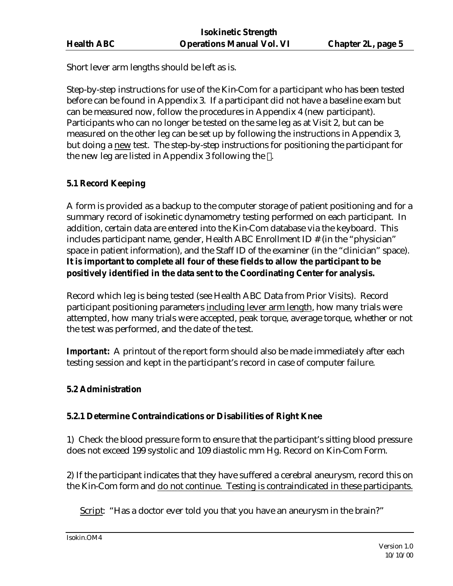Short lever arm lengths should be left as is.

Step-by-step instructions for use of the Kin-Com for a participant who has been tested before can be found in Appendix 3. If a participant did not have a baseline exam but can be measured now, follow the procedures in Appendix 4 (new participant). Participants who can no longer be tested on the same leg as at Visit 2, but can be measured on the other leg can be set up by following the instructions in Appendix 3, but doing a new test. The step-by-step instructions for positioning the participant for the new leg are listed in Appendix 3 following the .

## **5.1 Record Keeping**

A form is provided as a backup to the computer storage of patient positioning and for a summary record of isokinetic dynamometry testing performed on each participant. In addition, certain data are entered into the Kin-Com database via the keyboard. This includes participant name, gender, Health ABC Enrollment ID # (in the "physician" space in patient information), and the Staff ID of the examiner (in the "clinician" space). **It is important to complete all four of these fields to allow the participant to be positively identified in the data sent to the Coordinating Center for analysis.**

Record which leg is being tested (see Health ABC Data from Prior Visits). Record participant positioning parameters including lever arm length, how many trials were attempted, how many trials were accepted, peak torque, average torque, whether or not the test was performed, and the date of the test.

*Important:* A printout of the report form should also be made immediately after each testing session and kept in the participant's record in case of computer failure.

## **5.2 Administration**

## **5.2.1 Determine Contraindications or Disabilities of Right Knee**

1) Check the blood pressure form to ensure that the participant's sitting blood pressure does not exceed 199 systolic and 109 diastolic mm Hg. Record on Kin-Com Form.

2) If the participant indicates that they have suffered a cerebral aneurysm, record this on the Kin-Com form and do not continue. Testing is contraindicated in these participants.

Script: "Has a doctor ever told you that you have an aneurysm in the brain?"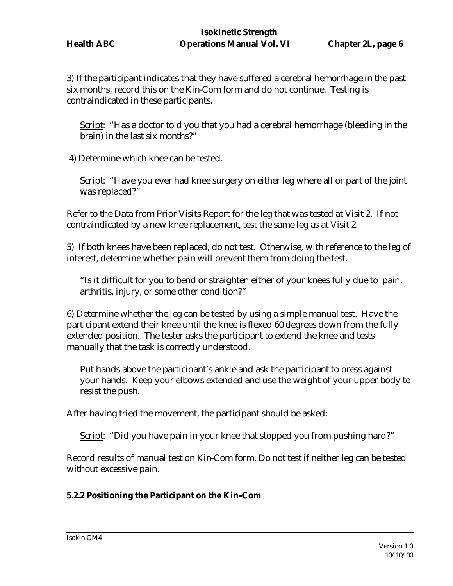3) If the participant indicates that they have suffered a cerebral hemorrhage in the past six months, record this on the Kin-Com form and do not continue. Testing is contraindicated in these participants.

Script: "Has a doctor told you that you had a cerebral hemorrhage (bleeding in the brain) in the last six months?"

4) Determine which knee can be tested.

Script: "Have you ever had knee surgery on either leg where all or part of the joint was replaced?"

Refer to the Data from Prior Visits Report for the leg that was tested at Visit 2. If not contraindicated by a new knee replacement, test the same leg as at Visit 2.

5) If both knees have been replaced, do not test. Otherwise, with reference to the leg of interest, determine whether pain will prevent them from doing the test.

"Is it difficult for you to bend or straighten either of your knees fully due to pain, arthritis, injury, or some other condition?"

6) Determine whether the leg can be tested by using a simple manual test. Have the participant extend their knee until the knee is flexed 60 degrees down from the fully extended position. The tester asks the participant to extend the knee and tests manually that the task is correctly understood.

Put hands above the participant's ankle and ask the participant to press against your hands. Keep your elbows extended and use the weight of your upper body to resist the push.

After having tried the movement, the participant should be asked:

Script: "Did you have pain in your knee that stopped you from pushing hard?"

Record results of manual test on Kin-Com form. Do not test if neither leg can be tested without excessive pain.

## **5.2.2 Positioning the Participant on the Kin-Com**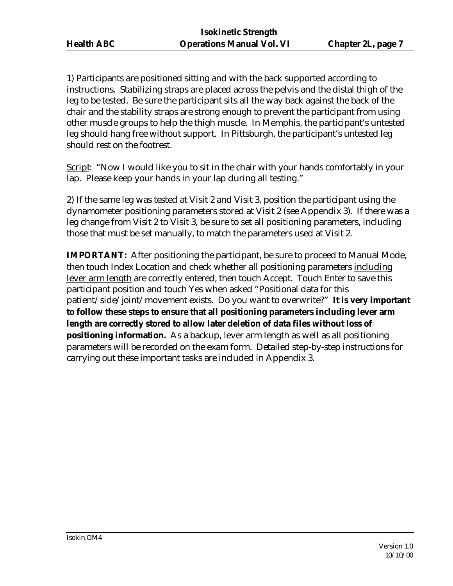1) Participants are positioned sitting and with the back supported according to instructions. Stabilizing straps are placed across the pelvis and the distal thigh of the leg to be tested. Be sure the participant sits all the way back against the back of the chair and the stability straps are strong enough to prevent the participant from using other muscle groups to help the thigh muscle. In Memphis, the participant's untested leg should hang free without support. In Pittsburgh, the participant's untested leg should rest on the footrest.

Script: "Now I would like you to sit in the chair with your hands comfortably in your lap. Please keep your hands in your lap during all testing."

2) If the same leg was tested at Visit 2 and Visit 3, position the participant using the dynamometer positioning parameters stored at Visit 2 (see Appendix 3). If there was a leg change from Visit 2 to Visit 3, be sure to set all positioning parameters, including those that must be set manually, to match the parameters used at Visit 2.

**IMPORTANT:** After positioning the participant, be sure to proceed to Manual Mode, then touch Index Location and check whether all positioning parameters including lever arm length are correctly entered, then touch Accept. Touch Enter to save this participant position and touch Yes when asked "Positional data for this patient/side/joint/movement exists. Do you want to overwrite?" **It is very important to follow these steps to ensure that all positioning parameters including lever arm length are correctly stored to allow later deletion of data files without loss of positioning information.** As a backup, lever arm length as well as all positioning parameters will be recorded on the exam form. Detailed step-by-step instructions for carrying out these important tasks are included in Appendix 3.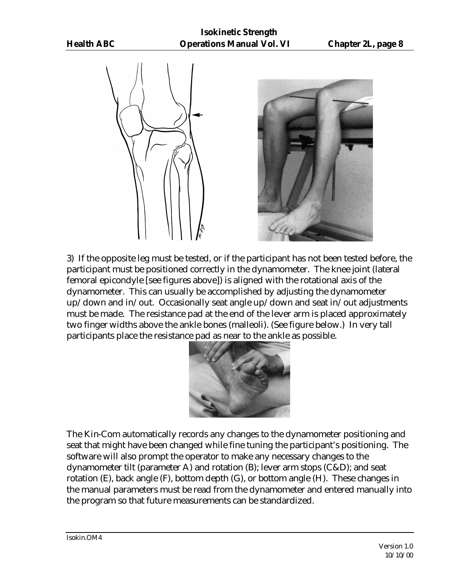



3) If the opposite leg must be tested, or if the participant has not been tested before, the participant must be positioned correctly in the dynamometer. The knee joint (lateral femoral epicondyle [see figures above]) is aligned with the rotational axis of the dynamometer. This can usually be accomplished by adjusting the dynamometer up/down and in/out. Occasionally seat angle up/down and seat in/out adjustments must be made. The resistance pad at the end of the lever arm is placed approximately two finger widths above the ankle bones (malleoli). (See figure below.) In very tall participants place the resistance pad as near to the ankle as possible.



The Kin-Com automatically records any changes to the dynamometer positioning and seat that might have been changed while fine tuning the participant's positioning. The software will also prompt the operator to make any necessary changes to the dynamometer tilt (parameter A) and rotation (B); lever arm stops (C&D); and seat rotation (E), back angle (F), bottom depth (G), or bottom angle (H). These changes in the manual parameters must be read from the dynamometer and entered manually into the program so that future measurements can be standardized.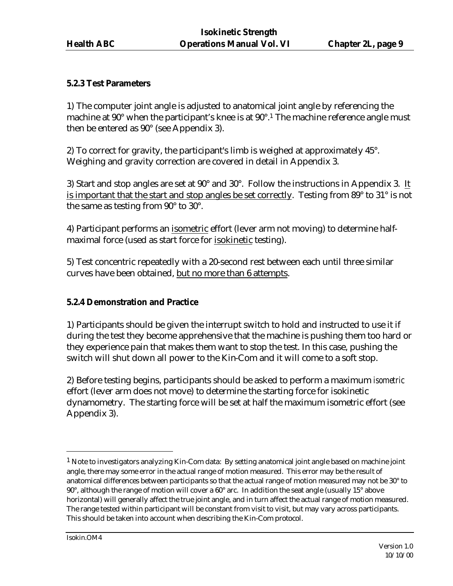#### **5.2.3 Test Parameters**

1) The computer joint angle is adjusted to anatomical joint angle by referencing the machine at 90° when the participant's knee is at 90°.<sup>1</sup> The machine reference angle must then be entered as 90° (see Appendix 3).

2) To correct for gravity, the participant's limb is weighed at approximately 45°. Weighing and gravity correction are covered in detail in Appendix 3.

3) Start and stop angles are set at 90° and 30°.Follow the instructions in Appendix 3. It is important that the start and stop angles be set correctly. Testing from 89° to 31° is not the same as testing from 90° to 30°.

4) Participant performs an isometric effort (lever arm not moving) to determine halfmaximal force (used as start force for isokinetic testing).

5) Test concentric repeatedly with a 20-second rest between each until three similar curves have been obtained, but no more than 6 attempts.

## **5.2.4 Demonstration and Practice**

1) Participants should be given the interrupt switch to hold and instructed to use it if during the test they become apprehensive that the machine is pushing them too hard or they experience pain that makes them want to stop the test. In this case, pushing the switch will shut down all power to the Kin-Com and it will come to a soft stop.

2) Before testing begins, participants should be asked to perform a maximum *isometric* effort (lever arm does not move) to determine the starting force for isokinetic dynamometry. The starting force will be set at half the maximum isometric effort (see Appendix 3).

 $\overline{a}$ 

 $<sup>1</sup>$  Note to investigators analyzing Kin-Com data: By setting anatomical joint angle based on machine joint</sup> angle, there may some error in the actual range of motion measured. This error may be the result of anatomical differences between participants so that the actual range of motion measured may not be 30° to 90°, although the range of motion will cover a 60° arc. In addition the seat angle (usually 15° above horizontal) will generally affect the true joint angle, and in turn affect the actual range of motion measured. The range tested within participant will be constant from visit to visit, but may vary across participants. This should be taken into account when describing the Kin-Com protocol.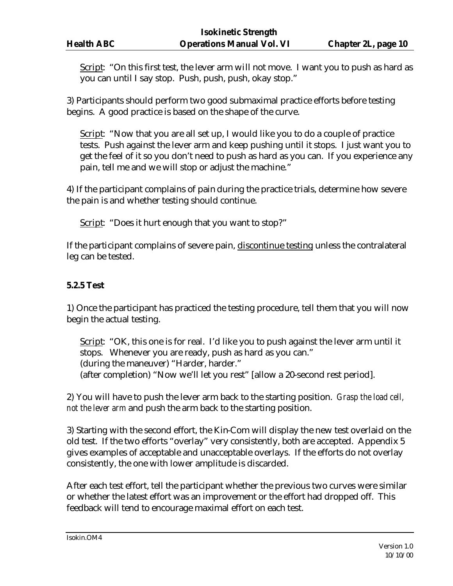Script: "On this first test, the lever arm will not move. I want you to push as hard as you can until I say stop. Push, push, push, okay stop."

3) Participants should perform two good submaximal practice efforts before testing begins. A good practice is based on the shape of the curve.

Script: "Now that you are all set up, I would like you to do a couple of practice tests. Push against the lever arm and keep pushing until it stops. I just want you to get the feel of it so you don't need to push as hard as you can. If you experience any pain, tell me and we will stop or adjust the machine."

4) If the participant complains of pain during the practice trials, determine how severe the pain is and whether testing should continue.

Script: "Does it hurt enough that you want to stop?"

If the participant complains of severe pain, discontinue testing unless the contralateral leg can be tested.

#### **5.2.5 Test**

1) Once the participant has practiced the testing procedure, tell them that you will now begin the actual testing.

Script: "OK, this one is for real. I'd like you to push against the lever arm until it stops. Whenever you are ready, push as hard as you can." (during the maneuver) "Harder, harder." (after completion) "Now we'll let you rest" [allow a 20-second rest period].

2) You will have to push the lever arm back to the starting position. *Grasp the load cell, not the lever arm* and push the arm back to the starting position.

3) Starting with the second effort, the Kin-Com will display the new test overlaid on the old test. If the two efforts "overlay" very consistently, both are accepted. Appendix 5 gives examples of acceptable and unacceptable overlays. If the efforts do not overlay consistently, the one with lower amplitude is discarded.

After each test effort, tell the participant whether the previous two curves were similar or whether the latest effort was an improvement or the effort had dropped off. This feedback will tend to encourage maximal effort on each test.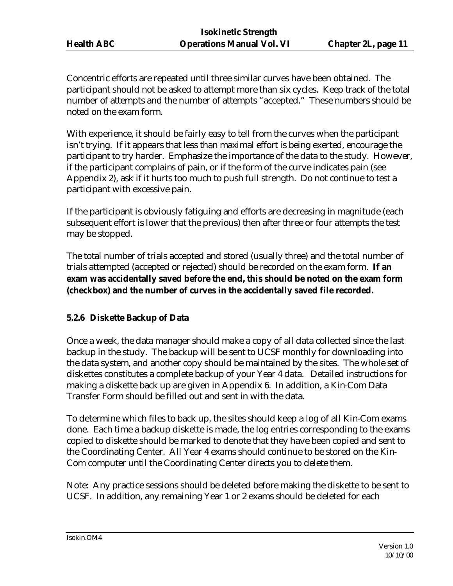Concentric efforts are repeated until three similar curves have been obtained. The participant should not be asked to attempt more than six cycles. Keep track of the total number of attempts and the number of attempts "accepted." These numbers should be noted on the exam form.

With experience, it should be fairly easy to tell from the curves when the participant isn't trying. If it appears that less than maximal effort is being exerted, encourage the participant to try harder. Emphasize the importance of the data to the study. However, if the participant complains of pain, or if the form of the curve indicates pain (see Appendix 2), ask if it hurts too much to push full strength. Do not continue to test a participant with excessive pain.

If the participant is obviously fatiguing and efforts are decreasing in magnitude (each subsequent effort is lower that the previous) then after three or four attempts the test may be stopped.

The total number of trials accepted and stored (usually three) and the total number of trials attempted (accepted or rejected) should be recorded on the exam form. **If an exam was accidentally saved before the end, this should be noted on the exam form (checkbox) and the number of curves in the accidentally saved file recorded.**

## **5.2.6 Diskette Backup of Data**

Once a week, the data manager should make a copy of all data collected since the last backup in the study. The backup will be sent to UCSF monthly for downloading into the data system, and another copy should be maintained by the sites. The whole set of diskettes constitutes a complete backup of your Year 4 data. Detailed instructions for making a diskette back up are given in Appendix 6. In addition, a Kin-Com Data Transfer Form should be filled out and sent in with the data.

To determine which files to back up, the sites should keep a log of all Kin-Com exams done. Each time a backup diskette is made, the log entries corresponding to the exams copied to diskette should be marked to denote that they have been copied and sent to the Coordinating Center. All Year 4 exams should continue to be stored on the Kin-Com computer until the Coordinating Center directs you to delete them.

Note: Any practice sessions should be deleted before making the diskette to be sent to UCSF. In addition, any remaining Year 1 or 2 exams should be deleted for each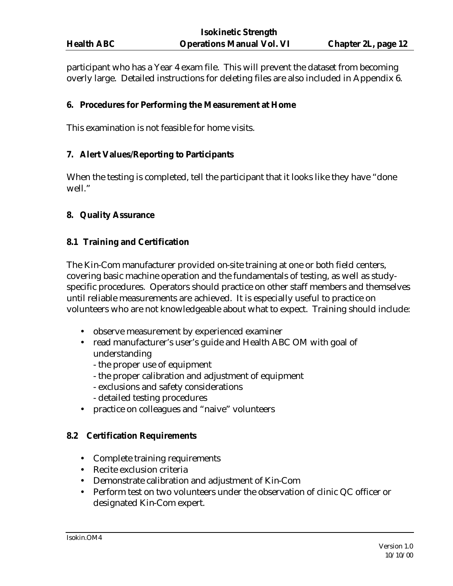participant who has a Year 4 exam file. This will prevent the dataset from becoming overly large. Detailed instructions for deleting files are also included in Appendix 6.

#### **6. Procedures for Performing the Measurement at Home**

This examination is not feasible for home visits.

#### **7. Alert Values/Reporting to Participants**

When the testing is completed, tell the participant that it looks like they have "done well."

#### **8. Quality Assurance**

#### **8.1 Training and Certification**

The Kin-Com manufacturer provided on-site training at one or both field centers, covering basic machine operation and the fundamentals of testing, as well as studyspecific procedures. Operators should practice on other staff members and themselves until reliable measurements are achieved. It is especially useful to practice on volunteers who are not knowledgeable about what to expect. Training should include:

- observe measurement by experienced examiner
- read manufacturer's user's guide and Health ABC OM with goal of understanding
	- the proper use of equipment
	- the proper calibration and adjustment of equipment
	- exclusions and safety considerations
	- detailed testing procedures
- practice on colleagues and "naive" volunteers

#### **8.2 Certification Requirements**

- Complete training requirements
- Recite exclusion criteria
- Demonstrate calibration and adjustment of Kin-Com
- Perform test on two volunteers under the observation of clinic QC officer or designated Kin-Com expert.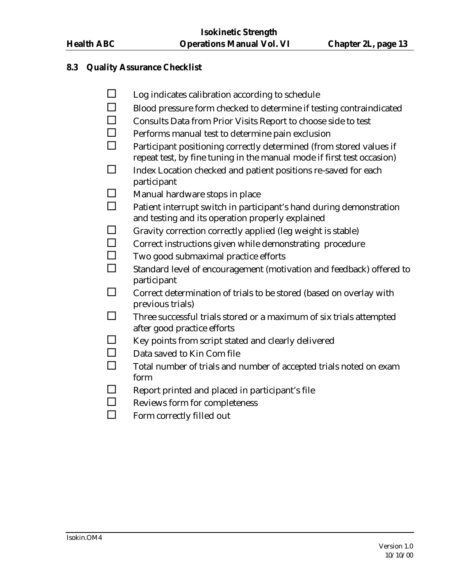#### **8.3 Quality Assurance Checklist**

- $\square$  Log indicates calibration according to schedule
- $\square$  Blood pressure form checked to determine if testing contraindicated
- $\Box$  Consults Data from Prior Visits Report to choose side to test
- $\Box$  Performs manual test to determine pain exclusion
- $\square$  Participant positioning correctly determined (from stored values if repeat test, by fine tuning in the manual mode if first test occasion)
- $\square$  Index Location checked and patient positions re-saved for each participant
- $\square$  Manual hardware stops in place
- $\square$  Patient interrupt switch in participant's hand during demonstration and testing and its operation properly explained
- $\Box$  Gravity correction correctly applied (leg weight is stable)
- □ Correct instructions given while demonstrating procedure
- $\Box$  Two good submaximal practice efforts
- $\square$  Standard level of encouragement (motivation and feedback) offered to participant
- $\square$  Correct determination of trials to be stored (based on overlay with previous trials)
- $\square$  Three successful trials stored or a maximum of six trials attempted after good practice efforts
- $\Box$  Key points from script stated and clearly delivered
- $\square$  Data saved to Kin Com file
- $\square$  Total number of trials and number of accepted trials noted on exam form
- $\square$  Report printed and placed in participant's file
- $\Box$  Reviews form for completeness
- $\square$  Form correctly filled out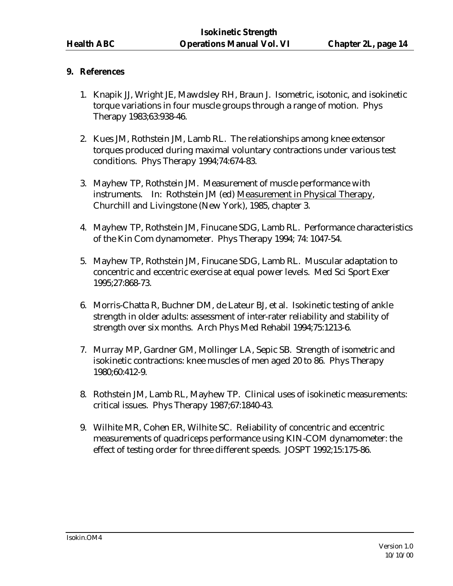### **9. References**

- 1. Knapik JJ, Wright JE, Mawdsley RH, Braun J. Isometric, isotonic, and isokinetic torque variations in four muscle groups through a range of motion. Phys Therapy 1983;63:938-46.
- 2. Kues JM, Rothstein JM, Lamb RL. The relationships among knee extensor torques produced during maximal voluntary contractions under various test conditions. Phys Therapy 1994;74:674-83.
- 3. Mayhew TP, Rothstein JM. Measurement of muscle performance with instruments. In: Rothstein JM (ed) Measurement in Physical Therapy, Churchill and Livingstone (New York), 1985, chapter 3.
- 4. Mayhew TP, Rothstein JM, Finucane SDG, Lamb RL. Performance characteristics of the Kin Com dynamometer. Phys Therapy 1994; 74: 1047-54.
- 5. Mayhew TP, Rothstein JM, Finucane SDG, Lamb RL. Muscular adaptation to concentric and eccentric exercise at equal power levels. Med Sci Sport Exer 1995;27:868-73.
- 6. Morris-Chatta R, Buchner DM, de Lateur BJ, et al. Isokinetic testing of ankle strength in older adults: assessment of inter-rater reliability and stability of strength over six months. Arch Phys Med Rehabil 1994;75:1213-6.
- 7. Murray MP, Gardner GM, Mollinger LA, Sepic SB. Strength of isometric and isokinetic contractions: knee muscles of men aged 20 to 86. Phys Therapy 1980;60:412-9.
- 8. Rothstein JM, Lamb RL, Mayhew TP. Clinical uses of isokinetic measurements: critical issues. Phys Therapy 1987;67:1840-43.
- 9. Wilhite MR, Cohen ER, Wilhite SC. Reliability of concentric and eccentric measurements of quadriceps performance using KIN-COM dynamometer: the effect of testing order for three different speeds. JOSPT 1992;15:175-86.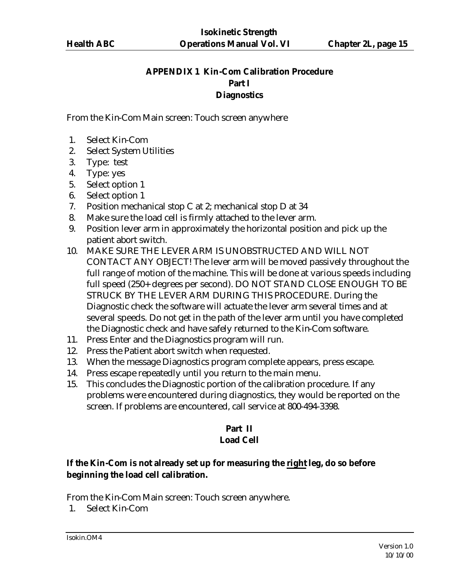## **APPENDIX 1 Kin-Com Calibration Procedure Part I Diagnostics**

From the Kin-Com Main screen: Touch screen anywhere

- 1. Select Kin-Com
- 2. Select System Utilities
- 3. Type: test
- 4. Type: yes
- 5. Select option 1
- 6. Select option 1
- 7. Position mechanical stop C at 2; mechanical stop D at 34
- 8. Make sure the load cell is firmly attached to the lever arm.
- 9. Position lever arm in approximately the horizontal position and pick up the patient abort switch.
- 10. MAKE SURE THE LEVER ARM IS UNOBSTRUCTED AND WILL NOT CONTACT ANY OBJECT! The lever arm will be moved passively throughout the full range of motion of the machine. This will be done at various speeds including full speed (250+ degrees per second). DO NOT STAND CLOSE ENOUGH TO BE STRUCK BY THE LEVER ARM DURING THIS PROCEDURE. During the Diagnostic check the software will actuate the lever arm several times and at several speeds. Do not get in the path of the lever arm until you have completed the Diagnostic check and have safely returned to the Kin-Com software.
- 11. Press Enter and the Diagnostics program will run.
- 12. Press the Patient abort switch when requested.
- 13. When the message Diagnostics program complete appears, press escape.
- 14. Press escape repeatedly until you return to the main menu.
- 15. This concludes the Diagnostic portion of the calibration procedure. If any problems were encountered during diagnostics, they would be reported on the screen. If problems are encountered, call service at 800-494-3398.

## **Part II Load Cell**

## **If the Kin-Com is not already set up for measuring the right leg, do so before beginning the load cell calibration.**

From the Kin-Com Main screen: Touch screen anywhere.

1. Select Kin-Com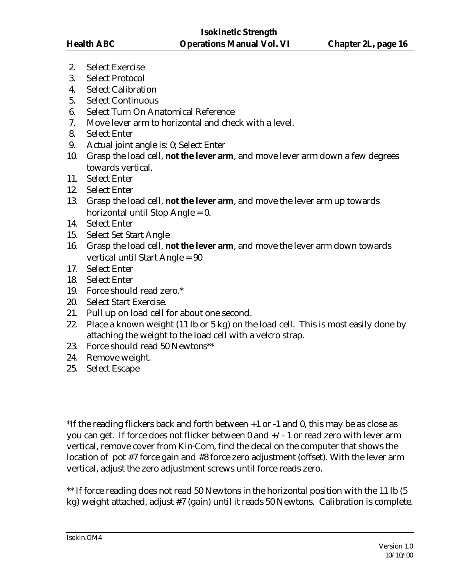- 2. Select Exercise
- 3. Select Protocol
- 4. Select Calibration
- 5. Select Continuous
- 6. Select Turn On Anatomical Reference
- 7. Move lever arm to horizontal and check with a level.
- 8. Select Enter
- 9. Actual joint angle is: 0; Select Enter
- 10. Grasp the load cell, **not the lever arm**, and move lever arm down a few degrees towards vertical.
- 11. Select Enter
- 12. Select Enter
- 13. Grasp the load cell, **not the lever arm**, and move the lever arm up towards horizontal until Stop Angle = 0.
- 14. Select Enter
- 15. Select Set Start Angle
- 16. Grasp the load cell, **not the lever arm**, and move the lever arm down towards vertical until Start Angle = 90
- 17. Select Enter
- 18. Select Enter
- 19. Force should read zero.\*
- 20. Select Start Exercise.
- 21. Pull up on load cell for about one second.
- 22. Place a known weight (11 lb or 5 kg) on the load cell. This is most easily done by attaching the weight to the load cell with a velcro strap.
- 23. Force should read 50 Newtons\*\*
- 24. Remove weight.
- 25. Select Escape

\*If the reading flickers back and forth between +1 or -1 and 0, this may be as close as you can get. If force does not flicker between 0 and +/- 1 or read zero with lever arm vertical, remove cover from Kin-Com, find the decal on the computer that shows the location of pot #7 force gain and #8 force zero adjustment (offset). With the lever arm vertical, adjust the zero adjustment screws until force reads zero.

\*\* If force reading does not read 50 Newtons in the horizontal position with the 11 lb (5) kg) weight attached, adjust #7 (gain) until it reads 50 Newtons. Calibration is complete.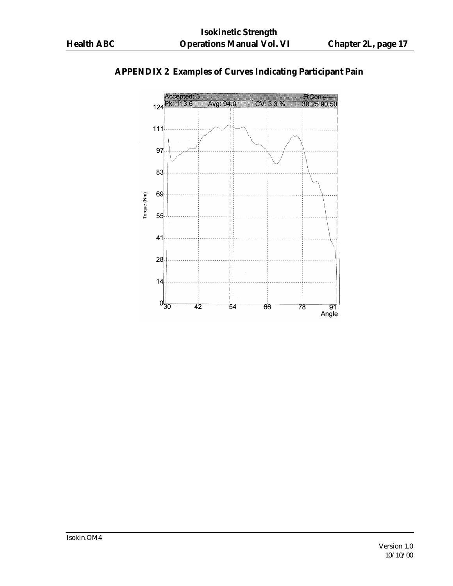

# **APPENDIX 2 Examples of Curves Indicating Participant Pain**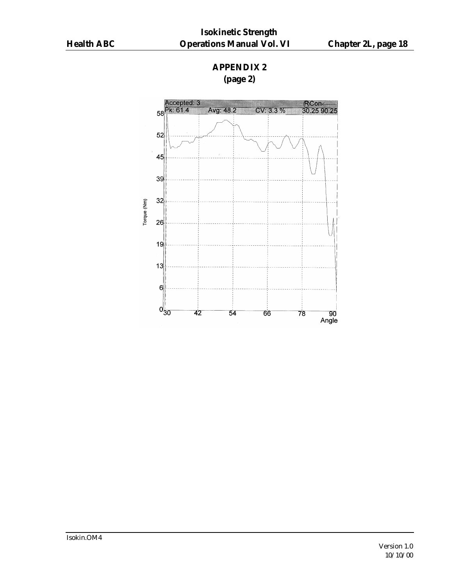## **APPENDIX 2 (page 2)**

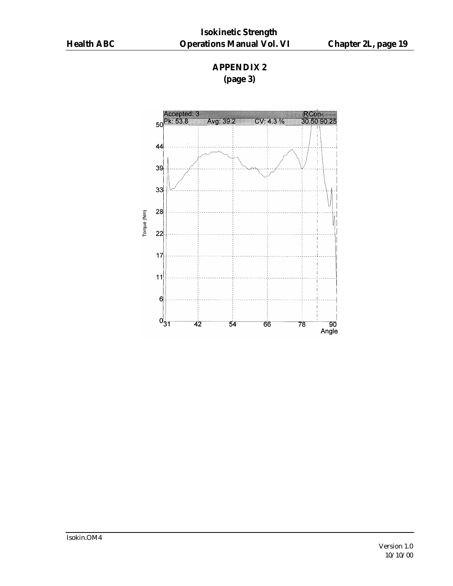## **APPENDIX 2 (page 3)**

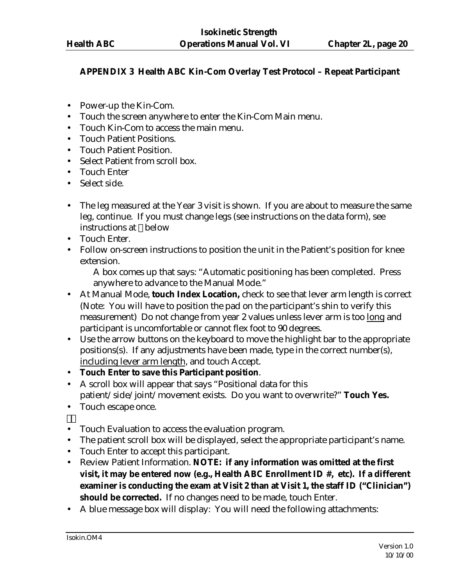## **APPENDIX 3 Health ABC Kin-Com Overlay Test Protocol – Repeat Participant**

- Power-up the Kin-Com.
- Touch the screen anywhere to enter the Kin-Com Main menu.
- Touch Kin-Com to access the main menu.
- Touch Patient Positions.
- Touch Patient Position.
- Select Patient from scroll box.
- Touch Enter
- Select side.
- The leg measured at the Year 3 visit is shown. If you are about to measure the same leg, continue. If you must change legs (see instructions on the data form), see instructions at below
- Touch Enter.
- Follow on-screen instructions to position the unit in the Patient's position for knee extension.

A box comes up that says: "Automatic positioning has been completed. Press anywhere to advance to the Manual Mode."

- At Manual Mode, **touch Index Location,** check to see that lever arm length is correct (Note: You will have to position the pad on the participant's shin to verify this measurement) Do not change from year 2 values unless lever arm is too long and participant is uncomfortable or cannot flex foot to 90 degrees.
- Use the arrow buttons on the keyboard to move the highlight bar to the appropriate positions(s). If any adjustments have been made, type in the correct number(s), including lever arm length, and touch Accept.
- **Touch Enter to save this Participant position**.
- A scroll box will appear that says "Positional data for this patient/side/joint/movement exists. Do you want to overwrite?" **Touch Yes.**
- Touch escape once.
- Touch Evaluation to access the evaluation program.
- The patient scroll box will be displayed, select the appropriate participant's name.
- Touch Enter to accept this participant.
- Review Patient Information. **NOTE: if any information was omitted at the first visit, it may be entered now (e.g., Health ABC Enrollment ID #, etc). If a different examiner is conducting the exam at Visit 2 than at Visit 1, the staff ID ("Clinician")**  should be corrected. If no changes need to be made, touch Enter.
- A blue message box will display: You will need the following attachments: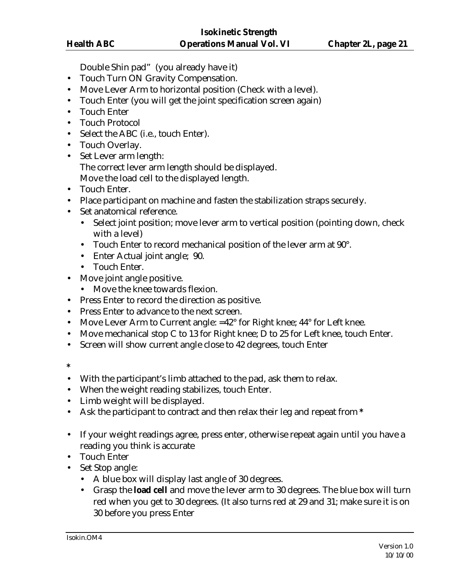Double Shin pad" (you already have it)

- Touch Turn ON Gravity Compensation.
- Move Lever Arm to horizontal position (Check with a level).
- Touch Enter (you will get the joint specification screen again)
- Touch Enter
- Touch Protocol
- Select the ABC (i.e., touch Enter).
- Touch Overlay.
- Set Lever arm length: The correct lever arm length should be displayed. Move the load cell to the displayed length.
- Touch Enter.
- Place participant on machine and fasten the stabilization straps securely.
- Set anatomical reference.
	- Select joint position; move lever arm to vertical position (pointing down, check with a level)
	- Touch Enter to record mechanical position of the lever arm at 90°.
	- Enter Actual joint angle; 90.
	- Touch Enter.
- Move joint angle positive.
	- Move the knee towards flexion.
- Press Enter to record the direction as positive.
- Press Enter to advance to the next screen.
- Move Lever Arm to Current angle: =42° for Right knee; 44° for Left knee.
- Move mechanical stop C to 13 for Right knee; D to 25 for Left knee, touch Enter.
- Screen will show current angle close to 42 degrees, touch Enter
- **\***
- With the participant's limb attached to the pad, ask them to relax.
- When the weight reading stabilizes, touch Enter.
- Limb weight will be displayed.
- Ask the participant to contract and then relax their leg and repeat from **\***
- If your weight readings agree, press enter, otherwise repeat again until you have a reading you think is accurate
- Touch Enter
- Set Stop angle:
	- A blue box will display last angle of 30 degrees.
	- Grasp the **load cell** and move the lever arm to 30 degrees. The blue box will turn red when you get to 30 degrees. (It also turns red at 29 and 31; make sure it is on 30 before you press Enter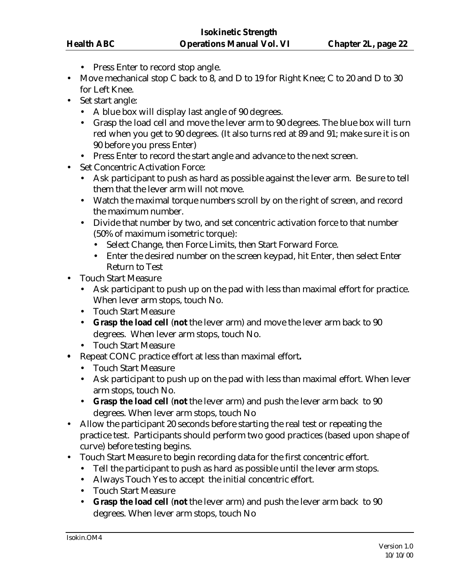- Press Enter to record stop angle.
- Move mechanical stop C back to 8, and D to 19 for Right Knee; C to 20 and D to 30 for Left Knee.
- Set start angle:
	- A blue box will display last angle of 90 degrees.
	- Grasp the load cell and move the lever arm to 90 degrees. The blue box will turn red when you get to 90 degrees. (It also turns red at 89 and 91; make sure it is on 90 before you press Enter)
	- Press Enter to record the start angle and advance to the next screen.
- Set Concentric Activation Force:
	- Ask participant to push as hard as possible against the lever arm. Be sure to tell them that the lever arm will not move.
	- Watch the maximal torque numbers scroll by on the right of screen, and record the maximum number.
	- Divide that number by two, and set concentric activation force to that number (50% of maximum isometric torque):
		- Select Change, then Force Limits, then Start Forward Force.
		- Enter the desired number on the screen keypad, hit Enter, then select Enter Return to Test
- Touch Start Measure
	- Ask participant to push up on the pad with less than maximal effort for practice. When lever arm stops, touch No.
	- Touch Start Measure
	- **Grasp the load cell** (**not** the lever arm) and move the lever arm back to 90 degrees. When lever arm stops, touch No.
	- Touch Start Measure
- **•** Repeat CONC practice effort at less than maximal effort**.**
	- Touch Start Measure
	- Ask participant to push up on the pad with less than maximal effort. When lever arm stops, touch No.
	- **Grasp the load cell** (**not** the lever arm) and push the lever arm back to 90 degrees. When lever arm stops, touch No
- Allow the participant 20 seconds before starting the real test or repeating the practice test. Participants should perform two good practices (based upon shape of curve) before testing begins.
- Touch Start Measure to begin recording data for the first concentric effort.
	- Tell the participant to push as hard as possible until the lever arm stops.
	- Always Touch Yes to accept the initial concentric effort.
	- Touch Start Measure
	- **Grasp the load cell** (**not** the lever arm) and push the lever arm back to 90 degrees. When lever arm stops, touch No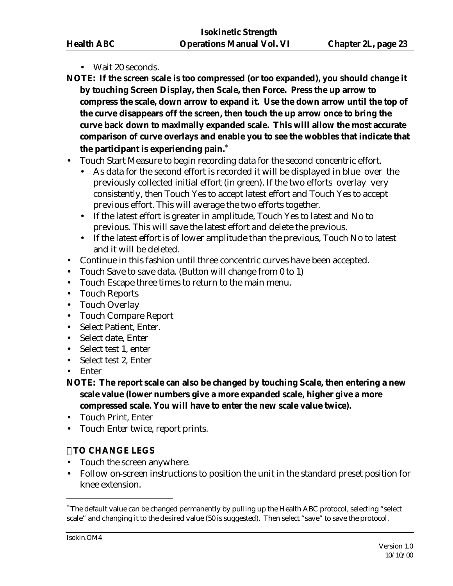- Wait 20 seconds.
- **NOTE: If the screen scale is too compressed (or too expanded), you should change it by touching Screen Display, then Scale, then Force. Press the up arrow to compress the scale, down arrow to expand it. Use the down arrow until the top of the curve disappears off the screen, then touch the up arrow once to bring the curve back down to maximally expanded scale. This will allow the most accurate comparison of curve overlays and enable you to see the wobbles that indicate that the participant is experiencing pain.**\*
- Touch Start Measure to begin recording data for the second concentric effort.
	- As data for the second effort is recorded it will be displayed in blue over the previously collected initial effort (in green). If the two efforts overlay very consistently, then Touch Yes to accept latest effort and Touch Yes to accept previous effort. This will average the two efforts together.
	- If the latest effort is greater in amplitude, Touch Yes to latest and No to previous. This will save the latest effort and delete the previous.
	- If the latest effort is of lower amplitude than the previous, Touch No to latest and it will be deleted.
- Continue in this fashion until three concentric curves have been accepted.
- Touch Save to save data. (Button will change from 0 to 1)
- Touch Escape three times to return to the main menu.
- Touch Reports
- Touch Overlay
- Touch Compare Report
- Select Patient, Enter.
- Select date, Enter
- Select test 1, enter
- Select test 2, Enter
- Enter
- **NOTE: The report scale can also be changed by touching Scale, then entering a new scale value (lower numbers give a more expanded scale, higher give a more compressed scale. You will have to enter the new scale value twice).**
- Touch Print, Enter
- Touch Enter twice, report prints.

## **TO CHANGE LEGS**

- Touch the screen anywhere.
- Follow on-screen instructions to position the unit in the standard preset position for knee extension.

 $\overline{a}$ 

<sup>\*</sup> The default value can be changed permanently by pulling up the Health ABC protocol, selecting "select scale" and changing it to the desired value (50 is suggested). Then select "save" to save the protocol.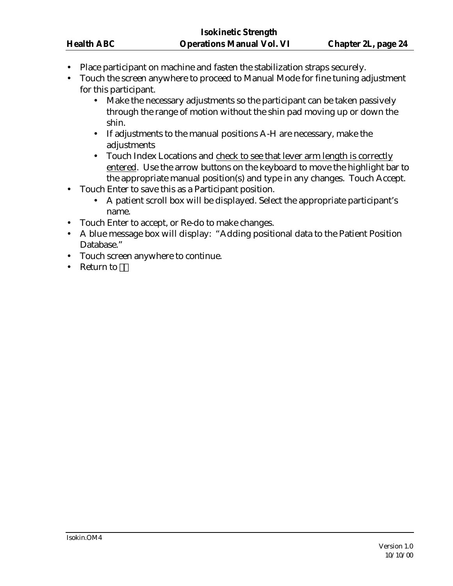- Place participant on machine and fasten the stabilization straps securely.
- Touch the screen anywhere to proceed to Manual Mode for fine tuning adjustment for this participant.
	- Make the necessary adjustments so the participant can be taken passively through the range of motion without the shin pad moving up or down the shin.
	- If adjustments to the manual positions A-H are necessary, make the adjustments
	- Touch Index Locations and check to see that lever arm length is correctly entered. Use the arrow buttons on the keyboard to move the highlight bar to the appropriate manual position(s) and type in any changes. Touch Accept.
- Touch Enter to save this as a Participant position.
	- A patient scroll box will be displayed. Select the appropriate participant's name.
- Touch Enter to accept, or Re-do to make changes.
- A blue message box will display: "Adding positional data to the Patient Position Database."
- Touch screen anywhere to continue.
- Return to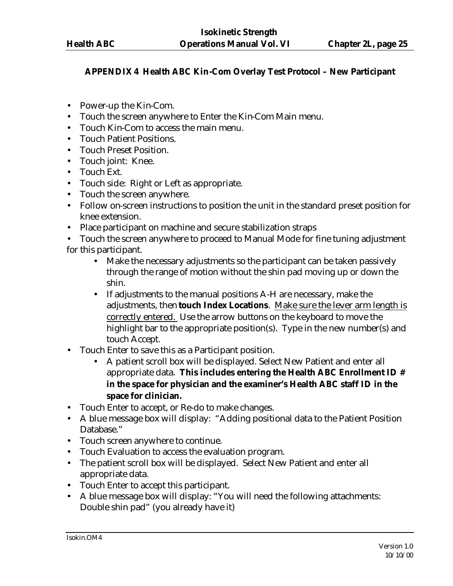## **APPENDIX 4 Health ABC Kin-Com Overlay Test Protocol – New Participant**

- Power-up the Kin-Com.
- Touch the screen anywhere to Enter the Kin-Com Main menu.
- Touch Kin-Com to access the main menu.
- Touch Patient Positions.
- Touch Preset Position.
- Touch joint: Knee.
- Touch Ext.
- Touch side: Right or Left as appropriate.
- Touch the screen anywhere.
- Follow on-screen instructions to position the unit in the standard preset position for knee extension.
- Place participant on machine and secure stabilization straps
- Touch the screen anywhere to proceed to Manual Mode for fine tuning adjustment for this participant.
	- Make the necessary adjustments so the participant can be taken passively through the range of motion without the shin pad moving up or down the shin.
	- If adjustments to the manual positions A-H are necessary, make the adjustments, then **touch Index Locations**. Make sure the lever arm length is correctly entered. Use the arrow buttons on the keyboard to move the highlight bar to the appropriate position(s). Type in the new number(s) and touch Accept.
- Touch Enter to save this as a Participant position.
	- A patient scroll box will be displayed. Select New Patient and enter all appropriate data. **This includes entering the Health ABC Enrollment ID # in the space for physician and the examiner's Health ABC staff ID in the space for clinician.**
- Touch Enter to accept, or Re-do to make changes.
- A blue message box will display: "Adding positional data to the Patient Position Database."
- Touch screen anywhere to continue.
- Touch Evaluation to access the evaluation program.
- The patient scroll box will be displayed. Select New Patient and enter all appropriate data.
- Touch Enter to accept this participant.
- A blue message box will display: "You will need the following attachments: Double shin pad" (you already have it)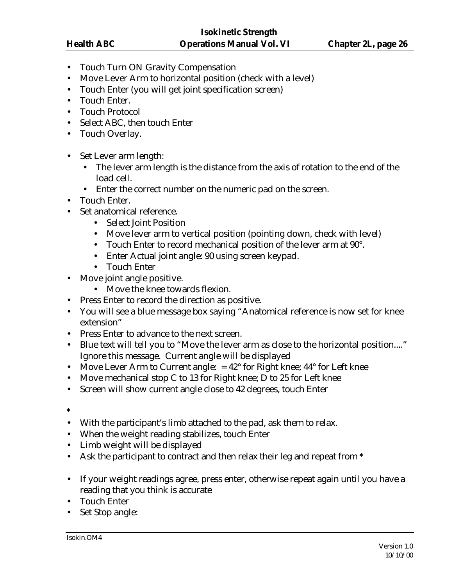- Touch Turn ON Gravity Compensation
- Move Lever Arm to horizontal position (check with a level)
- Touch Enter (you will get joint specification screen)
- Touch Enter.
- Touch Protocol
- Select ABC, then touch Enter
- Touch Overlay.
- Set Lever arm length:
	- The lever arm length is the distance from the axis of rotation to the end of the load cell.
	- Enter the correct number on the numeric pad on the screen.
- Touch Enter.
- Set anatomical reference.
	- Select Joint Position
	- Move lever arm to vertical position (pointing down, check with level)
	- Touch Enter to record mechanical position of the lever arm at 90°.
	- Enter Actual joint angle: 90 using screen keypad.
	- Touch Enter
- Move joint angle positive.
	- Move the knee towards flexion.
- Press Enter to record the direction as positive.
- You will see a blue message box saying "Anatomical reference is now set for knee extension"
- Press Enter to advance to the next screen.
- Blue text will tell you to "Move the lever arm as close to the horizontal position...." Ignore this message. Current angle will be displayed
- Move Lever Arm to Current angle:  $= 42^{\circ}$  for Right knee;  $44^{\circ}$  for Left knee
- Move mechanical stop C to 13 for Right knee; D to 25 for Left knee
- Screen will show current angle close to 42 degrees, touch Enter
- **\***
- With the participant's limb attached to the pad, ask them to relax.
- When the weight reading stabilizes, touch Enter
- Limb weight will be displayed
- Ask the participant to contract and then relax their leg and repeat from **\***
- If your weight readings agree, press enter, otherwise repeat again until you have a reading that you think is accurate
- Touch Enter
- Set Stop angle: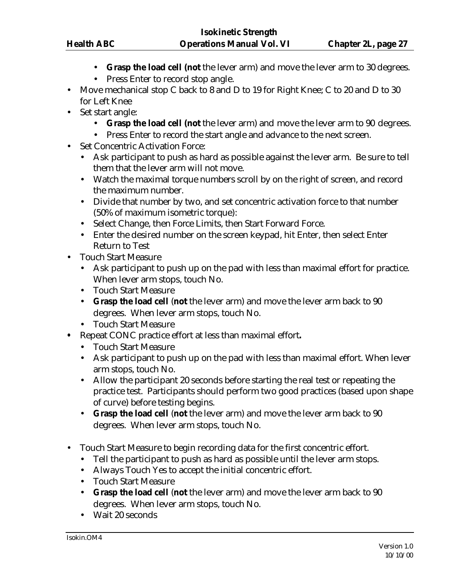- **Grasp the load cell (not** the lever arm) and move the lever arm to 30 degrees.
- Press Enter to record stop angle.
- Move mechanical stop C back to 8 and D to 19 for Right Knee; C to 20 and D to 30 for Left Knee
- Set start angle:
	- **Grasp the load cell (not** the lever arm) and move the lever arm to 90 degrees.
	- Press Enter to record the start angle and advance to the next screen.
- Set Concentric Activation Force:
	- Ask participant to push as hard as possible against the lever arm. Be sure to tell them that the lever arm will not move.
	- Watch the maximal torque numbers scroll by on the right of screen, and record the maximum number.
	- Divide that number by two, and set concentric activation force to that number (50% of maximum isometric torque):
	- Select Change, then Force Limits, then Start Forward Force.
	- Enter the desired number on the screen keypad, hit Enter, then select Enter Return to Test
- Touch Start Measure
	- Ask participant to push up on the pad with less than maximal effort for practice. When lever arm stops, touch No.
	- Touch Start Measure
	- **Grasp the load cell** (**not** the lever arm) and move the lever arm back to 90 degrees. When lever arm stops, touch No.
	- Touch Start Measure
- **•** Repeat CONC practice effort at less than maximal effort**.**
	- Touch Start Measure
	- Ask participant to push up on the pad with less than maximal effort. When lever arm stops, touch No.
	- Allow the participant 20 seconds before starting the real test or repeating the practice test. Participants should perform two good practices (based upon shape of curve) before testing begins.
	- **Grasp the load cell** (**not** the lever arm) and move the lever arm back to 90 degrees. When lever arm stops, touch No.
- Touch Start Measure to begin recording data for the first concentric effort.
	- Tell the participant to push as hard as possible until the lever arm stops.
	- Always Touch Yes to accept the initial concentric effort.
	- Touch Start Measure
	- **Grasp the load cell** (**not** the lever arm) and move the lever arm back to 90 degrees. When lever arm stops, touch No.
	- Wait 20 seconds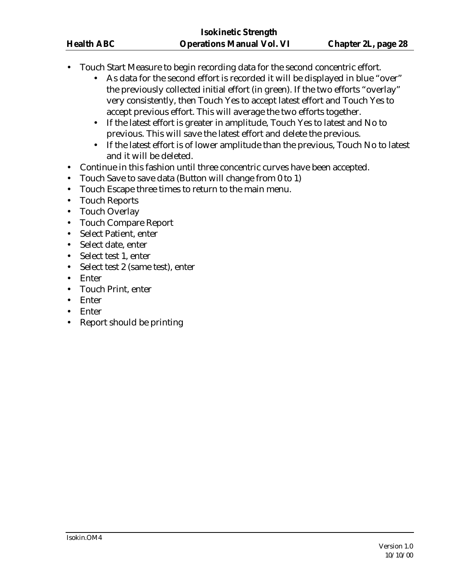- Touch Start Measure to begin recording data for the second concentric effort.
	- As data for the second effort is recorded it will be displayed in blue "over" the previously collected initial effort (in green). If the two efforts "overlay" very consistently, then Touch Yes to accept latest effort and Touch Yes to accept previous effort. This will average the two efforts together.
	- If the latest effort is greater in amplitude, Touch Yes to latest and No to previous. This will save the latest effort and delete the previous.
	- If the latest effort is of lower amplitude than the previous, Touch No to latest and it will be deleted.
- Continue in this fashion until three concentric curves have been accepted.
- Touch Save to save data (Button will change from 0 to 1)
- Touch Escape three times to return to the main menu.
- Touch Reports
- Touch Overlay
- Touch Compare Report
- Select Patient, enter
- Select date, enter
- Select test 1, enter
- Select test 2 (same test), enter
- Enter
- Touch Print, enter
- Enter
- Enter
- Report should be printing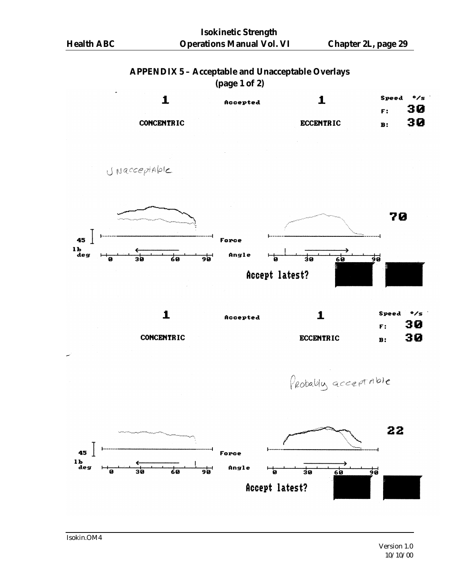#### **APPENDIX 5 – Acceptable and Unacceptable Overlays (page 1 of 2)**

|                   | $\mathbf{v}$ $\mathbf{v}$ $\mathbf{v}$ $\mathbf{v}$ |                  |           |              |  |
|-------------------|-----------------------------------------------------|------------------|-----------|--------------|--|
|                   | Accepted                                            |                  | Speed     | $\bullet$ /s |  |
|                   |                                                     |                  | F:        | 30           |  |
| <b>CONCENTRIC</b> |                                                     | <b>ECCENTRIC</b> | <b>B:</b> | 30           |  |

JNacceptable



**CONCENTRIC** 

Probably acceptable

**ECCENTRIC** 



30

 $\mathbf{B}$ :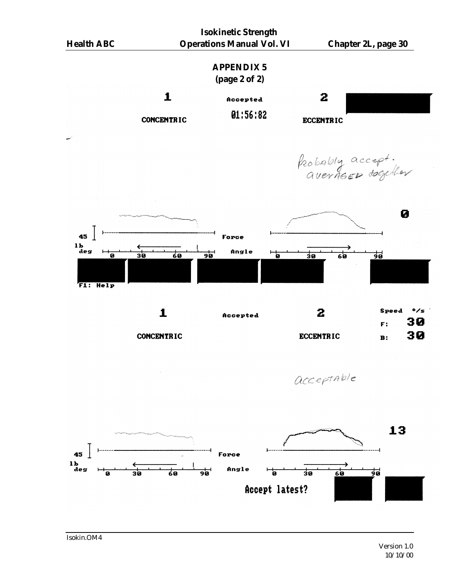

Isokin.OM4

Version 1.0 10/10/00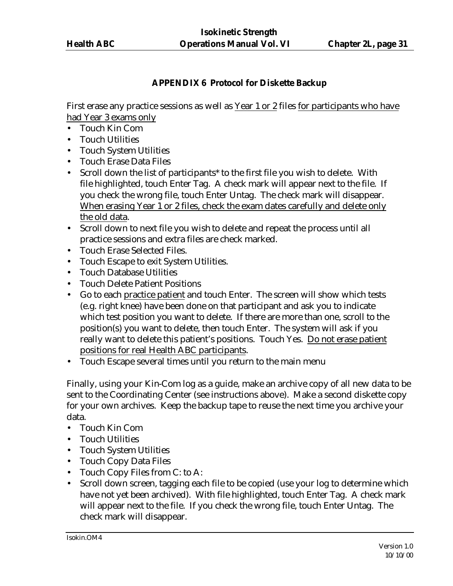## **APPENDIX 6 Protocol for Diskette Backup**

First erase any practice sessions as well as Year 1 or 2 files for participants who have had Year 3 exams only

- Touch Kin Com
- Touch Utilities
- Touch System Utilities
- Touch Erase Data Files
- Scroll down the list of participants\* to the first file you wish to delete. With file highlighted, touch Enter Tag. A check mark will appear next to the file. If you check the wrong file, touch Enter Untag. The check mark will disappear. When erasing Year 1 or 2 files, check the exam dates carefully and delete only the old data.
- Scroll down to next file you wish to delete and repeat the process until all practice sessions and extra files are check marked.
- Touch Erase Selected Files.
- Touch Escape to exit System Utilities.
- Touch Database Utilities
- Touch Delete Patient Positions
- Go to each practice patient and touch Enter. The screen will show which tests (e.g. right knee) have been done on that participant and ask you to indicate which test position you want to delete. If there are more than one, scroll to the position(s) you want to delete, then touch Enter. The system will ask if you really want to delete this patient's positions. Touch Yes. Do not erase patient positions for real Health ABC participants.
- Touch Escape several times until you return to the main menu

Finally, using your Kin-Com log as a guide, make an archive copy of all new data to be sent to the Coordinating Center (see instructions above). Make a second diskette copy for your own archives. Keep the backup tape to reuse the next time you archive your data.

- Touch Kin Com
- Touch Utilities
- Touch System Utilities
- Touch Copy Data Files
- Touch Copy Files from C: to A:
- Scroll down screen, tagging each file to be copied (use your log to determine which have not yet been archived). With file highlighted, touch Enter Tag. A check mark will appear next to the file. If you check the wrong file, touch Enter Untag. The check mark will disappear.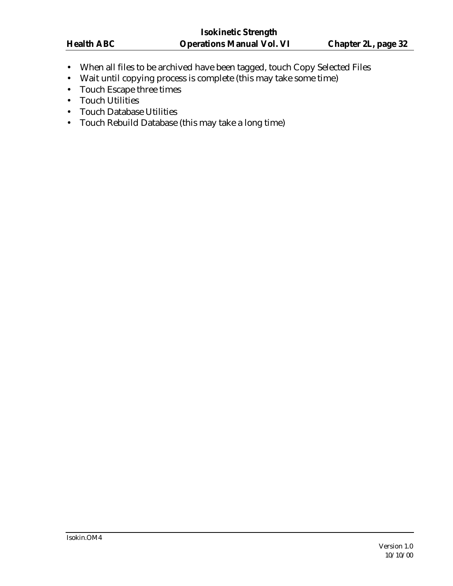- When all files to be archived have been tagged, touch Copy Selected Files
- Wait until copying process is complete (this may take some time)
- Touch Escape three times
- Touch Utilities
- Touch Database Utilities
- Touch Rebuild Database (this may take a long time)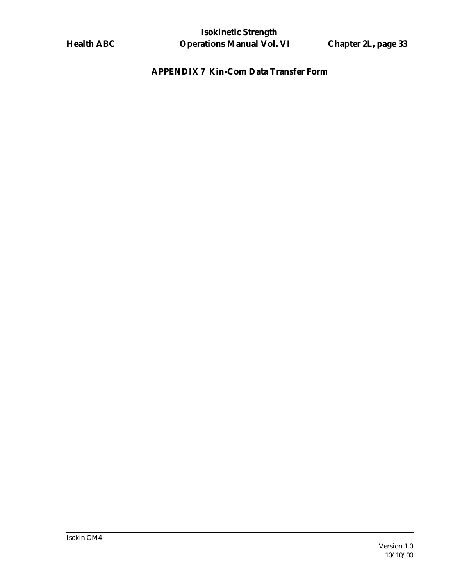# **APPENDIX 7 Kin-Com Data Transfer Form**